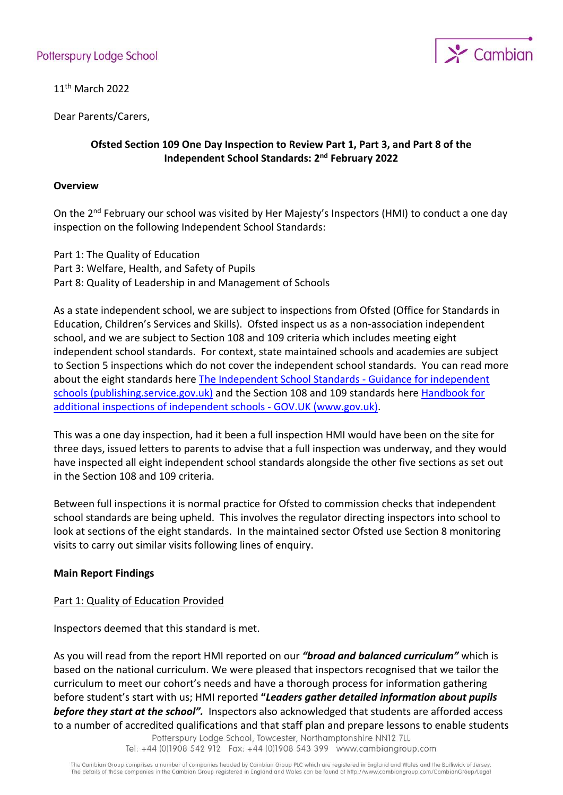

11th March 2022

Dear Parents/Carers,

### **Ofsted Section 109 One Day Inspection to Review Part 1, Part 3, and Part 8 of the Independent School Standards: 2nd February 2022**

### **Overview**

On the 2<sup>nd</sup> February our school was visited by Her Majesty's Inspectors (HMI) to conduct a one day inspection on the following Independent School Standards:

Part 1: The Quality of Education Part 3: Welfare, Health, and Safety of Pupils Part 8: Quality of Leadership in and Management of Schools

As a state independent school, we are subject to inspections from Ofsted (Office for Standards in Education, Children's Services and Skills). Ofsted inspect us as a non-association independent school, and we are subject to Section 108 and 109 criteria which includes meeting eight independent school standards. For context, state maintained schools and academies are subject to Section 5 inspections which do not cover the independent school standards. You can read more about the eight standards here [The Independent School Standards -](https://assets.publishing.service.gov.uk/government/uploads/system/uploads/attachment_data/file/800615/Independent_School_Standards-_Guidance_070519.pdf) Guidance for independent [schools \(publishing.service.gov.uk\)](https://assets.publishing.service.gov.uk/government/uploads/system/uploads/attachment_data/file/800615/Independent_School_Standards-_Guidance_070519.pdf) and the Section 108 and 109 standards here Handbook for [additional inspections of independent schools -](https://www.gov.uk/government/publications/conducting-additional-inspections-of-independent-schools/handbook-for-additional-inspections-of-independent-schools) GOV.UK (www.gov.uk).

This was a one day inspection, had it been a full inspection HMI would have been on the site for three days, issued letters to parents to advise that a full inspection was underway, and they would have inspected all eight independent school standards alongside the other five sections as set out in the Section 108 and 109 criteria.

Between full inspections it is normal practice for Ofsted to commission checks that independent school standards are being upheld. This involves the regulator directing inspectors into school to look at sections of the eight standards. In the maintained sector Ofsted use Section 8 monitoring visits to carry out similar visits following lines of enquiry.

### **Main Report Findings**

### Part 1: Quality of Education Provided

Inspectors deemed that this standard is met.

As you will read from the report HMI reported on our *"broad and balanced curriculum"* which is based on the national curriculum. We were pleased that inspectors recognised that we tailor the curriculum to meet our cohort's needs and have a thorough process for information gathering before student's start with us; HMI reported **"***Leaders gather detailed information about pupils before they start at the school".* Inspectors also acknowledged that students are afforded access to a number of accredited qualifications and that staff plan and prepare lessons to enable students Potterspury Lodge School, Towcester, Northamptonshire NN12 7LL

Tel: +44 (0)1908 542 912 Fax: +44 (0)1908 543 399 www.cambiangroup.com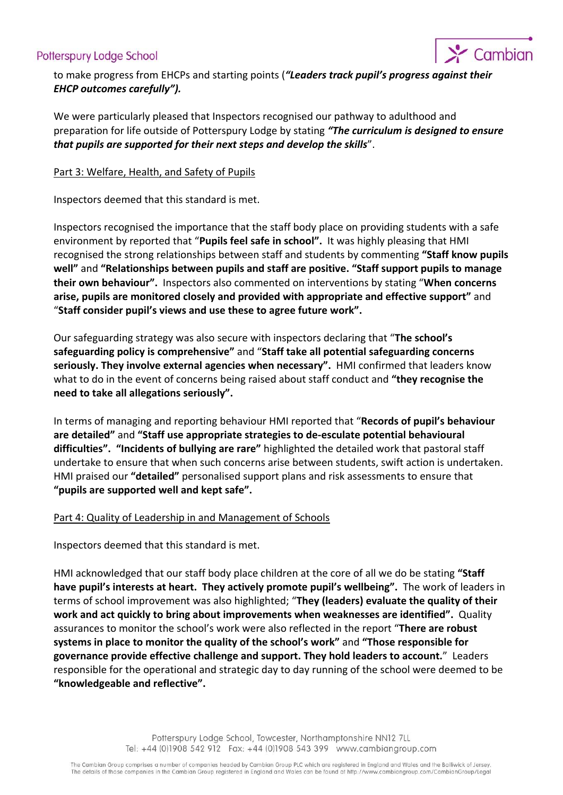# Potterspury Lodge School



to make progress from EHCPs and starting points (*"Leaders track pupil's progress against their EHCP outcomes carefully").* 

We were particularly pleased that Inspectors recognised our pathway to adulthood and preparation for life outside of Potterspury Lodge by stating *"The curriculum is designed to ensure that pupils are supported for their next steps and develop the skills*".

### Part 3: Welfare, Health, and Safety of Pupils

Inspectors deemed that this standard is met.

Inspectors recognised the importance that the staff body place on providing students with a safe environment by reported that "**Pupils feel safe in school".** It was highly pleasing that HMI recognised the strong relationships between staff and students by commenting **"Staff know pupils well"** and **"Relationships between pupils and staff are positive. "Staff support pupils to manage their own behaviour".** Inspectors also commented on interventions by stating "**When concerns arise, pupils are monitored closely and provided with appropriate and effective support"** and "**Staff consider pupil's views and use these to agree future work".** 

Our safeguarding strategy was also secure with inspectors declaring that "**The school's safeguarding policy is comprehensive"** and "**Staff take all potential safeguarding concerns seriously. They involve external agencies when necessary".** HMI confirmed that leaders know what to do in the event of concerns being raised about staff conduct and **"they recognise the need to take all allegations seriously".**

In terms of managing and reporting behaviour HMI reported that "**Records of pupil's behaviour are detailed"** and **"Staff use appropriate strategies to de-esculate potential behavioural difficulties". "Incidents of bullying are rare"** highlighted the detailed work that pastoral staff undertake to ensure that when such concerns arise between students, swift action is undertaken. HMI praised our **"detailed"** personalised support plans and risk assessments to ensure that **"pupils are supported well and kept safe".**

### Part 4: Quality of Leadership in and Management of Schools

Inspectors deemed that this standard is met.

HMI acknowledged that our staff body place children at the core of all we do be stating **"Staff have pupil's interests at heart. They actively promote pupil's wellbeing".** The work of leaders in terms of school improvement was also highlighted; "**They (leaders) evaluate the quality of their work and act quickly to bring about improvements when weaknesses are identified".** Quality assurances to monitor the school's work were also reflected in the report "**There are robust systems in place to monitor the quality of the school's work"** and **"Those responsible for governance provide effective challenge and support. They hold leaders to account.**" Leaders responsible for the operational and strategic day to day running of the school were deemed to be **"knowledgeable and reflective".**